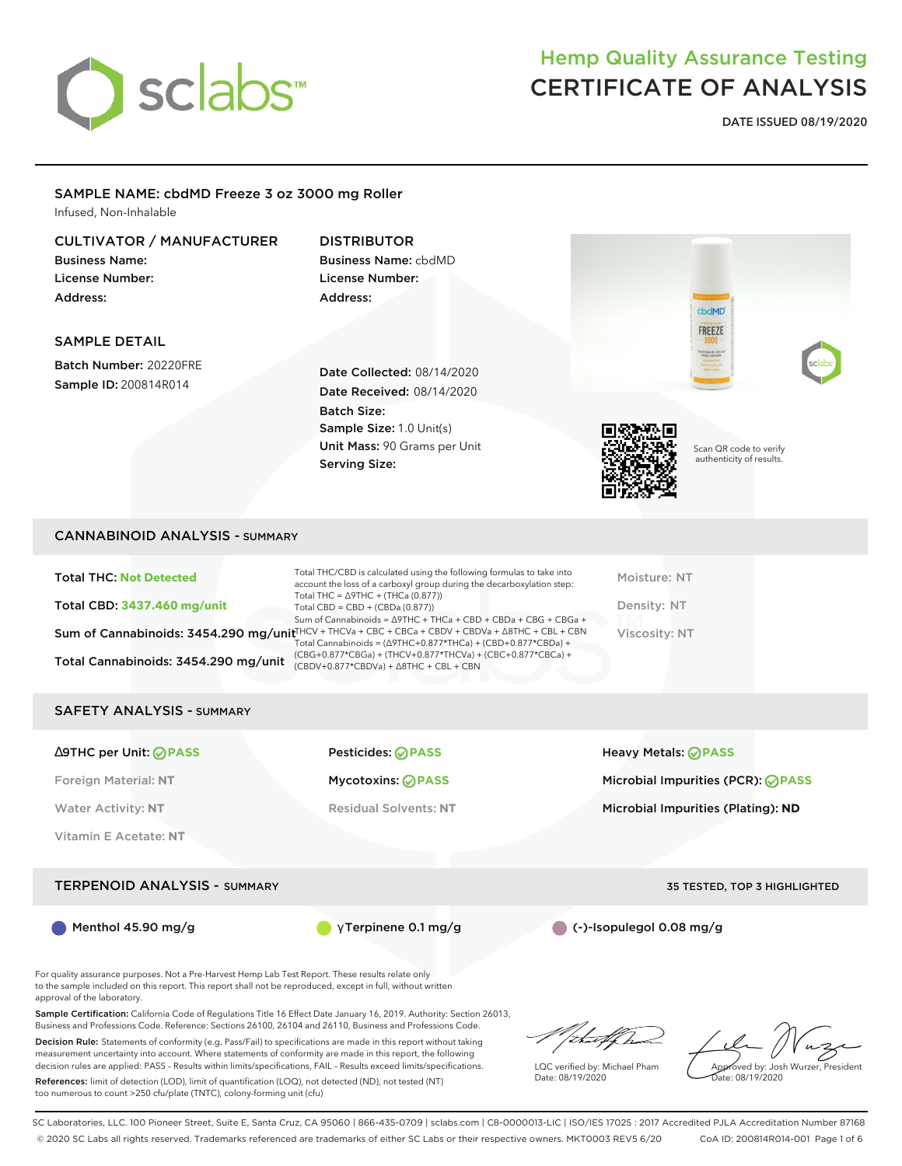

**DATE ISSUED 08/19/2020**

#### SAMPLE NAME: cbdMD Freeze 3 oz 3000 mg Roller

Infused, Non-Inhalable

### CULTIVATOR / MANUFACTURER

Business Name: License Number: Address:

#### DISTRIBUTOR

Business Name: cbdMD License Number: Address:

#### SAMPLE DETAIL

Batch Number: 20220FRE Sample ID: 200814R014

Date Collected: 08/14/2020 Date Received: 08/14/2020 Batch Size: Sample Size: 1.0 Unit(s) Unit Mass: 90 Grams per Unit Serving Size:



Scan QR code to verify authenticity of results.

cbdMD **FREEZE** 

#### CANNABINOID ANALYSIS - SUMMARY

| <b>Total THC: Not Detected</b>       | Total THC/CBD is calculated using the following formulas to take into<br>account the loss of a carboxyl group during the decarboxylation step:                                | Moisture: NT  |
|--------------------------------------|-------------------------------------------------------------------------------------------------------------------------------------------------------------------------------|---------------|
| <b>Total CBD: 3437.460 mg/unit</b>   | Total THC = $\triangle$ 9THC + (THCa (0.877))<br>Total CBD = $CBD + (CBDa (0.877))$<br>Sum of Cannabinoids = $\triangle$ 9THC + THCa + CBD + CBDa + CBG + CBGa +              | Density: NT   |
|                                      | Sum of Cannabinoids: 3454.290 mg/unit HCV + THCVa + CBC + CBCa + CBDV + CBDVa + A8THC + CBL + CBN<br>Total Cannabinoids = $(\Delta 9THC + 0.877*THCa) + (CBD + 0.877*CBDa) +$ | Viscosity: NT |
| Total Cannabinoids: 3454.290 mg/unit | (CBG+0.877*CBGa) + (THCV+0.877*THCVa) + (CBC+0.877*CBCa) +<br>$(CBDV+0.877*CBDVa) + \Delta 8THC + CBL + CBN$                                                                  |               |

#### SAFETY ANALYSIS - SUMMARY

∆9THC per Unit: **PASS** Pesticides: **PASS** Heavy Metals: **PASS** Foreign Material: **NT** Mycotoxins: **PASS** Microbial Impurities (PCR): **PASS** Water Activity: NT **Residual Solvents: NT** Microbial Impurities (Plating): ND Vitamin E Acetate: **NT** TERPENOID ANALYSIS - SUMMARY 35 TESTED, TOP 3 HIGHLIGHTED Menthol 45.90 mg/g **γ Terpinene 0.1 mg/g (-)-Isopulegol 0.08 mg/g** (-)-Isopulegol 0.08 mg/g

For quality assurance purposes. Not a Pre-Harvest Hemp Lab Test Report. These results relate only to the sample included on this report. This report shall not be reproduced, except in full, without written approval of the laboratory.

Sample Certification: California Code of Regulations Title 16 Effect Date January 16, 2019. Authority: Section 26013, Business and Professions Code. Reference: Sections 26100, 26104 and 26110, Business and Professions Code.

Decision Rule: Statements of conformity (e.g. Pass/Fail) to specifications are made in this report without taking measurement uncertainty into account. Where statements of conformity are made in this report, the following decision rules are applied: PASS – Results within limits/specifications, FAIL – Results exceed limits/specifications.

References: limit of detection (LOD), limit of quantification (LOQ), not detected (ND), not tested (NT) too numerous to count >250 cfu/plate (TNTC), colony-forming unit (cfu)

/that fCh

LQC verified by: Michael Pham Date: 08/19/2020

Approved by: Josh Wurzer, President

Date: 08/19/2020

SC Laboratories, LLC. 100 Pioneer Street, Suite E, Santa Cruz, CA 95060 | 866-435-0709 | sclabs.com | C8-0000013-LIC | ISO/IES 17025 : 2017 Accredited PJLA Accreditation Number 87168 © 2020 SC Labs all rights reserved. Trademarks referenced are trademarks of either SC Labs or their respective owners. MKT0003 REV5 6/20 CoA ID: 200814R014-001 Page 1 of 6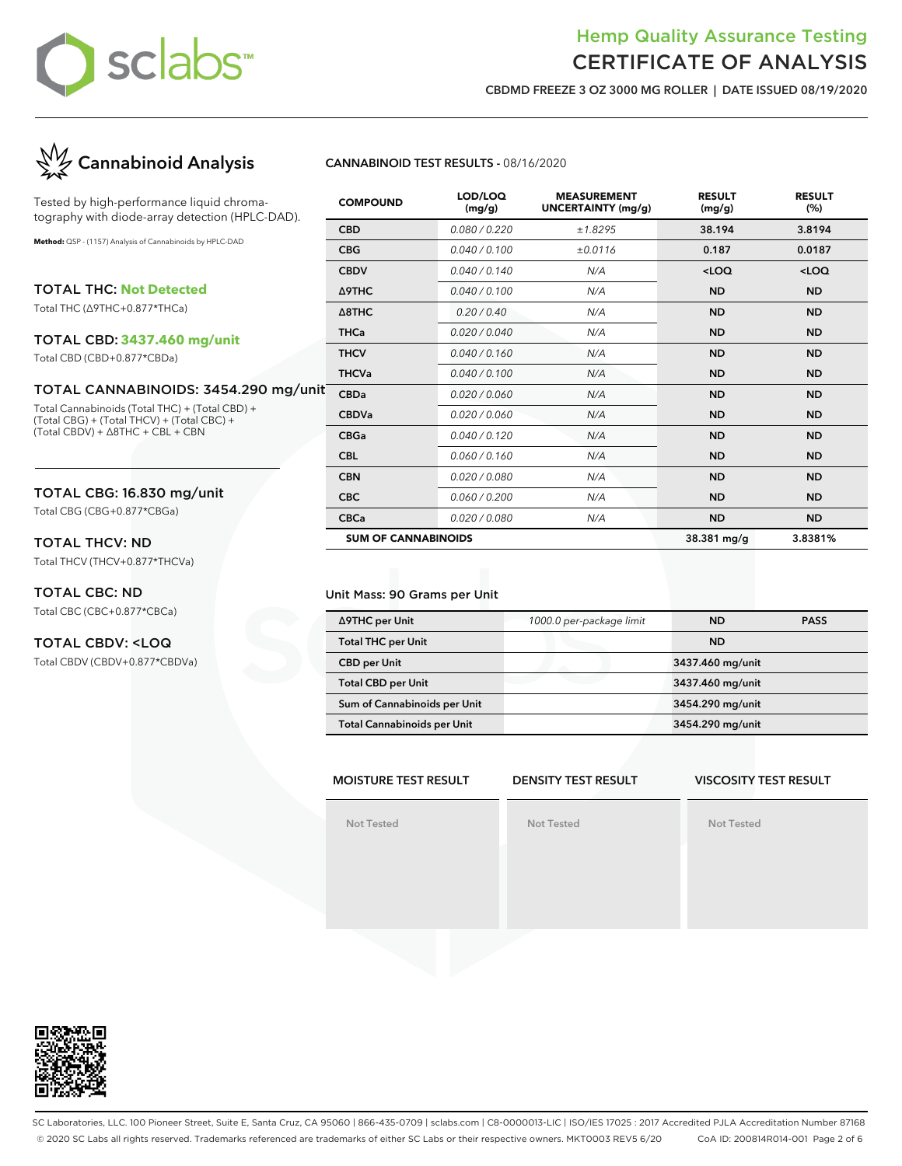

**CBDMD FREEZE 3 OZ 3000 MG ROLLER | DATE ISSUED 08/19/2020**



Tested by high-performance liquid chromatography with diode-array detection (HPLC-DAD).

**Method:** QSP - (1157) Analysis of Cannabinoids by HPLC-DAD

TOTAL THC: **Not Detected**

Total THC (∆9THC+0.877\*THCa)

#### TOTAL CBD: **3437.460 mg/unit**

Total CBD (CBD+0.877\*CBDa)

#### TOTAL CANNABINOIDS: 3454.290 mg/un

Total Cannabinoids (Total THC) + (Total CBD) + (Total CBG) + (Total THCV) + (Total CBC) + (Total CBDV) + ∆8THC + CBL + CBN

#### TOTAL CBG: 16.830 mg/unit

Total CBG (CBG+0.877\*CBGa)

## TOTAL THCV: ND

Total THCV (THCV+0.877\*THCVa)

#### TOTAL CBC: ND

Total CBC (CBC+0.877\*CBCa)

#### TOTAL CBDV: <LOQ

Total CBDV (CBDV+0.877\*CBDVa)

**CANNABINOID TEST RESULTS -** 08/16/2020

| <b>COMPOUND</b>            | LOD/LOQ<br>(mg/g) | <b>MEASUREMENT</b><br><b>UNCERTAINTY (mg/g)</b> | <b>RESULT</b><br>(mg/g) | <b>RESULT</b><br>(%) |
|----------------------------|-------------------|-------------------------------------------------|-------------------------|----------------------|
| <b>CBD</b>                 | 0.080 / 0.220     | ±1.8295                                         | 38.194                  | 3.8194               |
| <b>CBG</b>                 | 0.040 / 0.100     | ±0.0116                                         | 0.187                   | 0.0187               |
| <b>CBDV</b>                | 0.040 / 0.140     | N/A                                             | $<$ LOQ                 | <loq< td=""></loq<>  |
| Δ9THC                      | 0.040 / 0.100     | N/A                                             | <b>ND</b>               | <b>ND</b>            |
| $\triangle$ 8THC           | 0.20/0.40         | N/A                                             | <b>ND</b>               | <b>ND</b>            |
| <b>THCa</b>                | 0.020 / 0.040     | N/A                                             | <b>ND</b>               | <b>ND</b>            |
| <b>THCV</b>                | 0.040 / 0.160     | N/A                                             | <b>ND</b>               | <b>ND</b>            |
| <b>THCVa</b>               | 0.040 / 0.100     | N/A                                             | <b>ND</b>               | <b>ND</b>            |
| ıit<br><b>CBDa</b>         | 0.020 / 0.060     | N/A                                             | <b>ND</b>               | <b>ND</b>            |
| <b>CBDVa</b>               | 0.020 / 0.060     | N/A                                             | <b>ND</b>               | <b>ND</b>            |
| <b>CBGa</b>                | 0.040 / 0.120     | N/A                                             | <b>ND</b>               | <b>ND</b>            |
| <b>CBL</b>                 | 0.060 / 0.160     | N/A                                             | <b>ND</b>               | <b>ND</b>            |
| <b>CBN</b>                 | 0.020 / 0.080     | N/A                                             | <b>ND</b>               | <b>ND</b>            |
| <b>CBC</b>                 | 0.060 / 0.200     | N/A                                             | <b>ND</b>               | <b>ND</b>            |
| <b>CBCa</b>                | 0.020 / 0.080     | N/A                                             | <b>ND</b>               | <b>ND</b>            |
| <b>SUM OF CANNABINOIDS</b> |                   |                                                 | 38.381 mg/g             | 3.8381%              |

#### Unit Mass: 90 Grams per Unit

| ∆9THC per Unit                     | 1000.0 per-package limit | ND               | <b>PASS</b> |
|------------------------------------|--------------------------|------------------|-------------|
| <b>Total THC per Unit</b>          |                          | <b>ND</b>        |             |
| <b>CBD</b> per Unit                |                          | 3437.460 mg/unit |             |
| <b>Total CBD per Unit</b>          |                          | 3437.460 mg/unit |             |
| Sum of Cannabinoids per Unit       |                          | 3454.290 mg/unit |             |
| <b>Total Cannabinoids per Unit</b> |                          | 3454.290 mg/unit |             |

#### **MOISTURE TEST RESULT DENSITY TEST RESULT**

**Not Tested**

**Not Tested**

#### **VISCOSITY TEST RESULT**

**Not Tested**

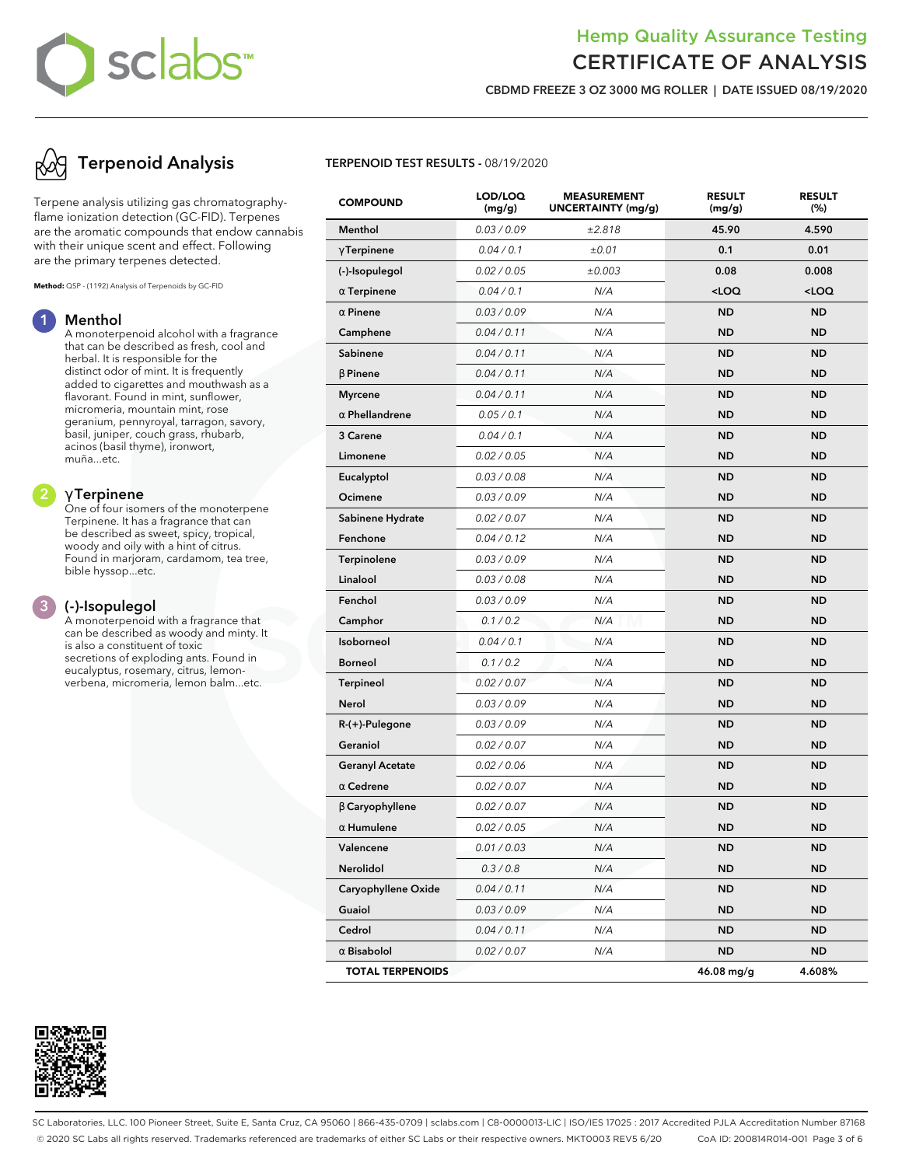# sclabs<sup>®</sup>

## Hemp Quality Assurance Testing CERTIFICATE OF ANALYSIS

**CBDMD FREEZE 3 OZ 3000 MG ROLLER | DATE ISSUED 08/19/2020**

# **Terpenoid Analysis**

Terpene analysis utilizing gas chromatographyflame ionization detection (GC-FID). Terpenes are the aromatic compounds that endow cannabis with their unique scent and effect. Following are the primary terpenes detected.

**Method:** QSP - (1192) Analysis of Terpenoids by GC-FID

#### **1 Menthol**

A monoterpenoid alcohol with a fragrance that can be described as fresh, cool and herbal. It is responsible for the distinct odor of mint. It is frequently added to cigarettes and mouthwash as a flavorant. Found in mint, sunflower, micromeria, mountain mint, rose geranium, pennyroyal, tarragon, savory, basil, juniper, couch grass, rhubarb, acinos (basil thyme), ironwort, muña...etc.

#### **2** γ **Terpinene**

One of four isomers of the monoterpene Terpinene. It has a fragrance that can be described as sweet, spicy, tropical, woody and oily with a hint of citrus. Found in marjoram, cardamom, tea tree, bible hyssop...etc.

#### **3 (-)-Isopulegol**

A monoterpenoid with a fragrance that can be described as woody and minty. It is also a constituent of toxic secretions of exploding ants. Found in eucalyptus, rosemary, citrus, lemonverbena, micromeria, lemon balm...etc.



#### **TERPENOID TEST RESULTS -** 08/19/2020

| <b>COMPOUND</b>         | LOD/LOQ<br>(mg/g) | <b>MEASUREMENT</b><br><b>UNCERTAINTY (mg/g)</b> | <b>RESULT</b><br>(mg/g)                          | <b>RESULT</b><br>(%) |
|-------------------------|-------------------|-------------------------------------------------|--------------------------------------------------|----------------------|
| Menthol                 | 0.03 / 0.09       | ±2.818                                          | 45.90                                            | 4.590                |
| $\gamma$ Terpinene      | 0.04 / 0.1        | ±0.01                                           | 0.1                                              | 0.01                 |
| (-)-Isopulegol          | 0.02 / 0.05       | ±0.003                                          | 0.08                                             | 0.008                |
| $\alpha$ Terpinene      | 0.04 / 0.1        | N/A                                             | <loq< th=""><th><math>&lt;</math>LOQ</th></loq<> | $<$ LOQ              |
| $\alpha$ Pinene         | 0.03 / 0.09       | N/A                                             | <b>ND</b>                                        | ND                   |
| Camphene                | 0.04 / 0.11       | N/A                                             | <b>ND</b>                                        | ND                   |
| Sabinene                | 0.04 / 0.11       | N/A                                             | <b>ND</b>                                        | <b>ND</b>            |
| $\beta$ Pinene          | 0.04 / 0.11       | N/A                                             | <b>ND</b>                                        | ND                   |
| <b>Myrcene</b>          | 0.04 / 0.11       | N/A                                             | <b>ND</b>                                        | ND                   |
| $\alpha$ Phellandrene   | 0.05 / 0.1        | N/A                                             | <b>ND</b>                                        | <b>ND</b>            |
| 3 Carene                | 0.04 / 0.1        | N/A                                             | <b>ND</b>                                        | ND                   |
| Limonene                | 0.02 / 0.05       | N/A                                             | <b>ND</b>                                        | ND                   |
| Eucalyptol              | 0.03 / 0.08       | N/A                                             | <b>ND</b>                                        | <b>ND</b>            |
| Ocimene                 | 0.03 / 0.09       | N/A                                             | <b>ND</b>                                        | ND                   |
| Sabinene Hydrate        | 0.02 / 0.07       | N/A                                             | <b>ND</b>                                        | ND                   |
| Fenchone                | 0.04 / 0.12       | N/A                                             | <b>ND</b>                                        | <b>ND</b>            |
| Terpinolene             | 0.03 / 0.09       | N/A                                             | <b>ND</b>                                        | ND                   |
| Linalool                | 0.03 / 0.08       | N/A                                             | <b>ND</b>                                        | ND                   |
| Fenchol                 | 0.03 / 0.09       | N/A                                             | <b>ND</b>                                        | <b>ND</b>            |
| Camphor                 | 0.1 / 0.2         | N/A                                             | <b>ND</b>                                        | ND                   |
| Isoborneol              | 0.04 / 0.1        | N/A                                             | <b>ND</b>                                        | ND                   |
| <b>Borneol</b>          | 0.1 / 0.2         | N/A                                             | <b>ND</b>                                        | <b>ND</b>            |
| <b>Terpineol</b>        | 0.02 / 0.07       | N/A                                             | <b>ND</b>                                        | ND                   |
| Nerol                   | 0.03 / 0.09       | N/A                                             | <b>ND</b>                                        | ND                   |
| R-(+)-Pulegone          | 0.03 / 0.09       | N/A                                             | <b>ND</b>                                        | <b>ND</b>            |
| Geraniol                | 0.02 / 0.07       | N/A                                             | <b>ND</b>                                        | ND                   |
| <b>Geranyl Acetate</b>  | 0.02 / 0.06       | N/A                                             | <b>ND</b>                                        | ND                   |
| $\alpha$ Cedrene        | 0.02 / 0.07       | N/A                                             | <b>ND</b>                                        | <b>ND</b>            |
| $\beta$ Caryophyllene   | 0.02 / 0.07       | N/A                                             | <b>ND</b>                                        | ND                   |
| $\alpha$ Humulene       | 0.02 / 0.05       | N/A                                             | <b>ND</b>                                        | ND                   |
| Valencene               | 0.01 / 0.03       | N/A                                             | <b>ND</b>                                        | <b>ND</b>            |
| Nerolidol               | 0.3 / 0.8         | N/A                                             | ND                                               | ND                   |
| Caryophyllene Oxide     | 0.04 / 0.11       | N/A                                             | <b>ND</b>                                        | ND                   |
| Guaiol                  | 0.03 / 0.09       | N/A                                             | <b>ND</b>                                        | <b>ND</b>            |
| Cedrol                  | 0.04 / 0.11       | N/A                                             | ND                                               | ND                   |
| $\alpha$ Bisabolol      | 0.02 / 0.07       | N/A                                             | <b>ND</b>                                        | ND                   |
| <b>TOTAL TERPENOIDS</b> |                   |                                                 | 46.08 mg/g                                       | 4.608%               |

SC Laboratories, LLC. 100 Pioneer Street, Suite E, Santa Cruz, CA 95060 | 866-435-0709 | sclabs.com | C8-0000013-LIC | ISO/IES 17025 : 2017 Accredited PJLA Accreditation Number 87168 © 2020 SC Labs all rights reserved. Trademarks referenced are trademarks of either SC Labs or their respective owners. MKT0003 REV5 6/20 CoA ID: 200814R014-001 Page 3 of 6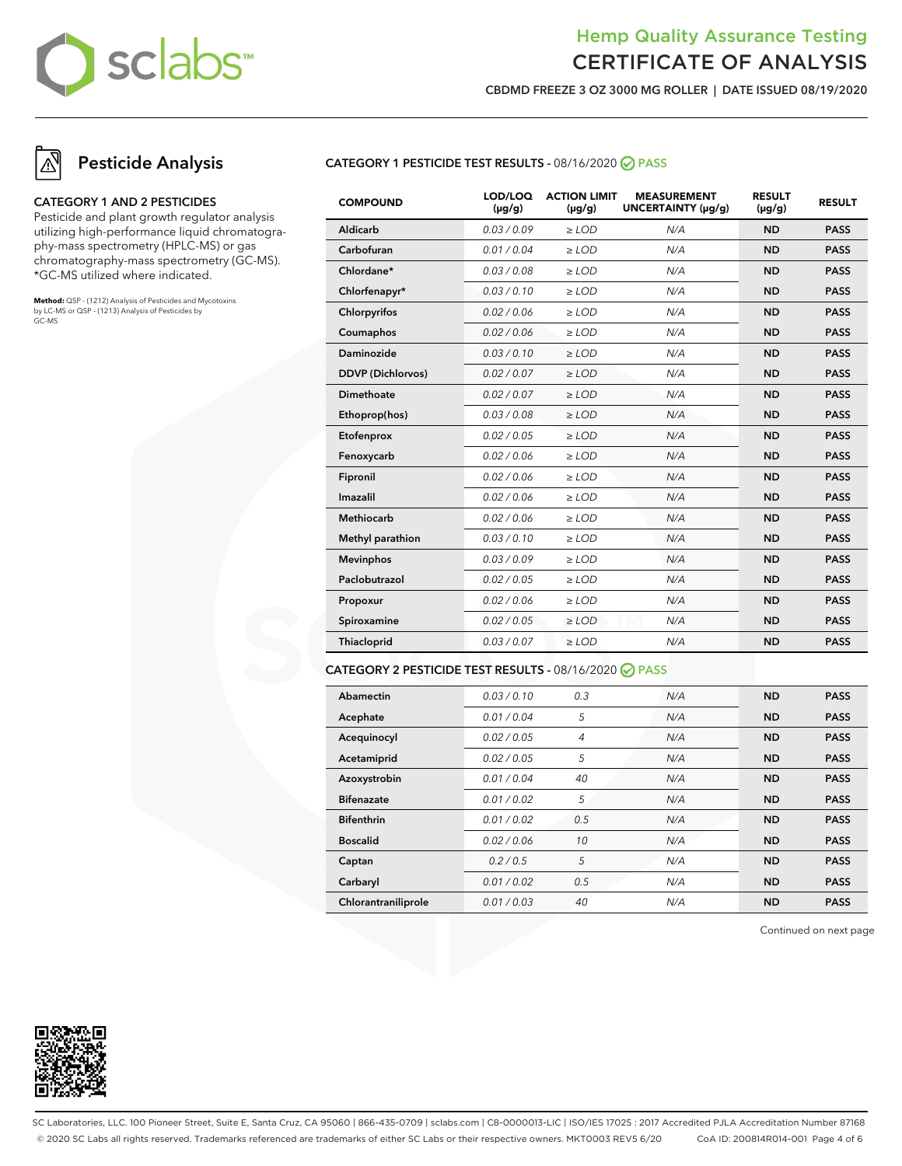

**CBDMD FREEZE 3 OZ 3000 MG ROLLER | DATE ISSUED 08/19/2020**

## **Pesticide Analysis**

#### **CATEGORY 1 AND 2 PESTICIDES**

Pesticide and plant growth regulator analysis utilizing high-performance liquid chromatography-mass spectrometry (HPLC-MS) or gas chromatography-mass spectrometry (GC-MS). \*GC-MS utilized where indicated.

**Method:** QSP - (1212) Analysis of Pesticides and Mycotoxins by LC-MS or QSP - (1213) Analysis of Pesticides by GC-MS

#### **CATEGORY 1 PESTICIDE TEST RESULTS -** 08/16/2020 **PASS**

| <b>COMPOUND</b>          | LOD/LOQ<br>$(\mu g/g)$ | <b>ACTION LIMIT</b><br>$(\mu g/g)$ | <b>MEASUREMENT</b><br>UNCERTAINTY (µg/g) | <b>RESULT</b><br>$(\mu g/g)$ | <b>RESULT</b> |
|--------------------------|------------------------|------------------------------------|------------------------------------------|------------------------------|---------------|
| Aldicarb                 | 0.03/0.09              | $\ge$ LOD                          | N/A                                      | <b>ND</b>                    | <b>PASS</b>   |
| Carbofuran               | 0.01 / 0.04            | $\ge$ LOD                          | N/A                                      | <b>ND</b>                    | <b>PASS</b>   |
| Chlordane*               | 0.03 / 0.08            | $\ge$ LOD                          | N/A                                      | <b>ND</b>                    | <b>PASS</b>   |
| Chlorfenapyr*            | 0.03/0.10              | $\ge$ LOD                          | N/A                                      | <b>ND</b>                    | <b>PASS</b>   |
| Chlorpyrifos             | 0.02 / 0.06            | $\ge$ LOD                          | N/A                                      | <b>ND</b>                    | <b>PASS</b>   |
| Coumaphos                | 0.02 / 0.06            | $\ge$ LOD                          | N/A                                      | <b>ND</b>                    | <b>PASS</b>   |
| Daminozide               | 0.03/0.10              | $\ge$ LOD                          | N/A                                      | <b>ND</b>                    | <b>PASS</b>   |
| <b>DDVP</b> (Dichlorvos) | 0.02 / 0.07            | $\ge$ LOD                          | N/A                                      | <b>ND</b>                    | <b>PASS</b>   |
| <b>Dimethoate</b>        | 0.02 / 0.07            | $\ge$ LOD                          | N/A                                      | <b>ND</b>                    | <b>PASS</b>   |
| Ethoprop(hos)            | 0.03/0.08              | $>$ LOD                            | N/A                                      | <b>ND</b>                    | <b>PASS</b>   |
| Etofenprox               | 0.02 / 0.05            | $\ge$ LOD                          | N/A                                      | <b>ND</b>                    | <b>PASS</b>   |
| Fenoxycarb               | 0.02 / 0.06            | $\ge$ LOD                          | N/A                                      | <b>ND</b>                    | <b>PASS</b>   |
| Fipronil                 | 0.02 / 0.06            | $\ge$ LOD                          | N/A                                      | <b>ND</b>                    | <b>PASS</b>   |
| Imazalil                 | 0.02 / 0.06            | $\ge$ LOD                          | N/A                                      | <b>ND</b>                    | <b>PASS</b>   |
| <b>Methiocarb</b>        | 0.02 / 0.06            | $>$ LOD                            | N/A                                      | <b>ND</b>                    | <b>PASS</b>   |
| Methyl parathion         | 0.03/0.10              | $\ge$ LOD                          | N/A                                      | <b>ND</b>                    | <b>PASS</b>   |
| <b>Mevinphos</b>         | 0.03/0.09              | $\ge$ LOD                          | N/A                                      | <b>ND</b>                    | <b>PASS</b>   |
| Paclobutrazol            | 0.02 / 0.05            | $\ge$ LOD                          | N/A                                      | <b>ND</b>                    | <b>PASS</b>   |
| Propoxur                 | 0.02 / 0.06            | $\geq$ LOD                         | N/A                                      | <b>ND</b>                    | <b>PASS</b>   |
| Spiroxamine              | 0.02 / 0.05            | $\ge$ LOD                          | N/A                                      | <b>ND</b>                    | <b>PASS</b>   |
| Thiacloprid              | 0.03 / 0.07            | $\ge$ LOD                          | N/A                                      | <b>ND</b>                    | <b>PASS</b>   |

#### **CATEGORY 2 PESTICIDE TEST RESULTS -** 08/16/2020 **PASS**

| Abamectin           | 0.03/0.10   | 0.3 | N/A | <b>ND</b> | <b>PASS</b> |
|---------------------|-------------|-----|-----|-----------|-------------|
| Acephate            | 0.01/0.04   | 5   | N/A | <b>ND</b> | <b>PASS</b> |
| Acequinocyl         | 0.02 / 0.05 | 4   | N/A | <b>ND</b> | <b>PASS</b> |
| Acetamiprid         | 0.02 / 0.05 | 5   | N/A | <b>ND</b> | <b>PASS</b> |
| Azoxystrobin        | 0.01 / 0.04 | 40  | N/A | <b>ND</b> | <b>PASS</b> |
| <b>Bifenazate</b>   | 0.01 / 0.02 | 5   | N/A | <b>ND</b> | <b>PASS</b> |
| <b>Bifenthrin</b>   | 0.01 / 0.02 | 0.5 | N/A | <b>ND</b> | <b>PASS</b> |
| <b>Boscalid</b>     | 0.02 / 0.06 | 10  | N/A | <b>ND</b> | <b>PASS</b> |
| Captan              | 0.2/0.5     | 5   | N/A | <b>ND</b> | <b>PASS</b> |
| Carbaryl            | 0.01/0.02   | 0.5 | N/A | <b>ND</b> | <b>PASS</b> |
| Chlorantraniliprole | 0.01/0.03   | 40  | N/A | <b>ND</b> | <b>PASS</b> |

Continued on next page



SC Laboratories, LLC. 100 Pioneer Street, Suite E, Santa Cruz, CA 95060 | 866-435-0709 | sclabs.com | C8-0000013-LIC | ISO/IES 17025 : 2017 Accredited PJLA Accreditation Number 87168 © 2020 SC Labs all rights reserved. Trademarks referenced are trademarks of either SC Labs or their respective owners. MKT0003 REV5 6/20 CoA ID: 200814R014-001 Page 4 of 6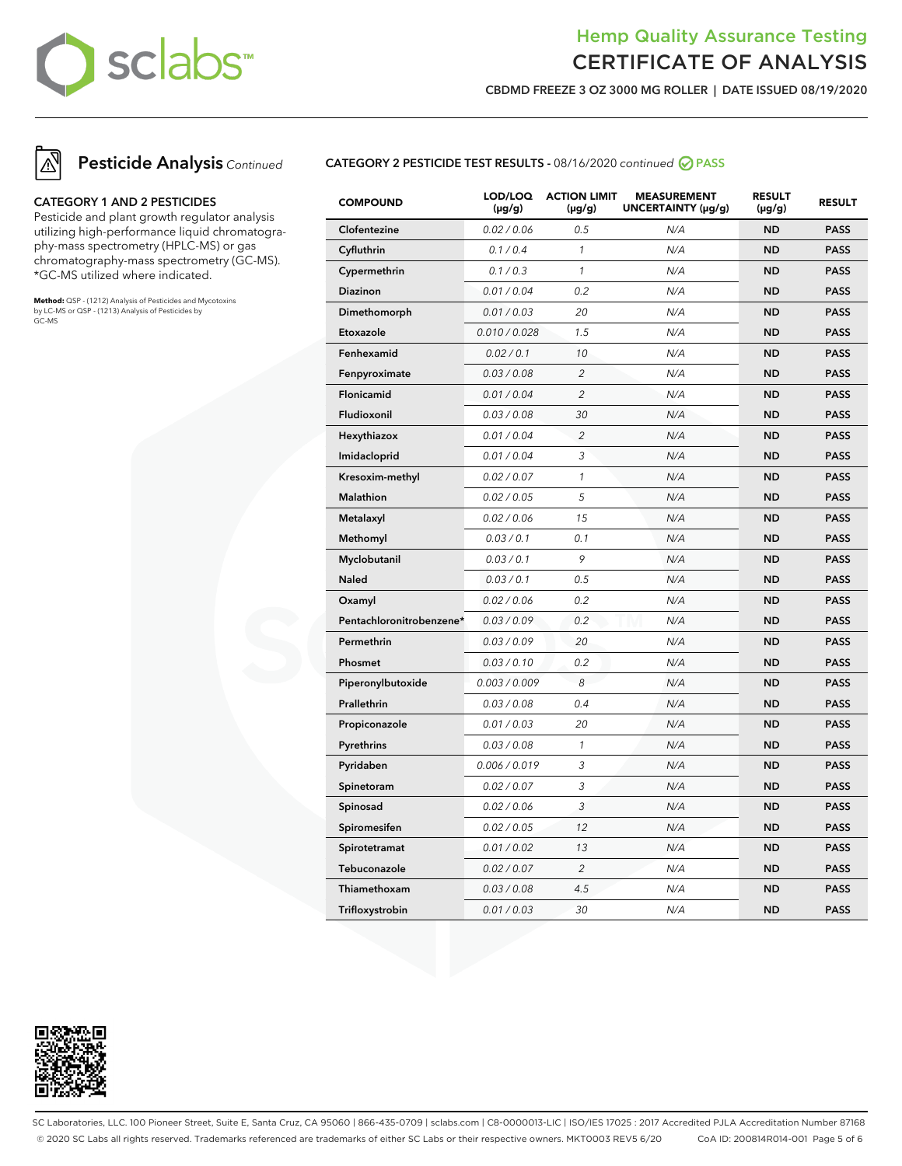

**CBDMD FREEZE 3 OZ 3000 MG ROLLER | DATE ISSUED 08/19/2020**



#### **CATEGORY 1 AND 2 PESTICIDES**

Pesticide and plant growth regulator analysis utilizing high-performance liquid chromatography-mass spectrometry (HPLC-MS) or gas chromatography-mass spectrometry (GC-MS). \*GC-MS utilized where indicated.

**Method:** QSP - (1212) Analysis of Pesticides and Mycotoxins by LC-MS or QSP - (1213) Analysis of Pesticides by GC-MS

#### **CATEGORY 2 PESTICIDE TEST RESULTS -** 08/16/2020 continued **PASS**

| <b>COMPOUND</b>          | LOD/LOQ<br>$(\mu g/g)$ | <b>ACTION LIMIT</b><br>$(\mu g/g)$ | <b>MEASUREMENT</b><br>UNCERTAINTY (µg/g) | <b>RESULT</b><br>$(\mu g/g)$ | <b>RESULT</b> |
|--------------------------|------------------------|------------------------------------|------------------------------------------|------------------------------|---------------|
| Clofentezine             | 0.02 / 0.06            | 0.5                                | N/A                                      | <b>ND</b>                    | <b>PASS</b>   |
| Cyfluthrin               | 0.1 / 0.4              | $\mathcal{I}$                      | N/A                                      | <b>ND</b>                    | <b>PASS</b>   |
| Cypermethrin             | 0.1 / 0.3              | $\mathcal{I}$                      | N/A                                      | <b>ND</b>                    | <b>PASS</b>   |
| Diazinon                 | 0.01 / 0.04            | 0.2                                | N/A                                      | <b>ND</b>                    | <b>PASS</b>   |
| Dimethomorph             | 0.01 / 0.03            | 20                                 | N/A                                      | <b>ND</b>                    | <b>PASS</b>   |
| Etoxazole                | 0.010 / 0.028          | 1.5                                | N/A                                      | <b>ND</b>                    | <b>PASS</b>   |
| Fenhexamid               | 0.02 / 0.1             | 10                                 | N/A                                      | <b>ND</b>                    | <b>PASS</b>   |
| Fenpyroximate            | 0.03 / 0.08            | $\overline{c}$                     | N/A                                      | <b>ND</b>                    | <b>PASS</b>   |
| Flonicamid               | 0.01 / 0.04            | $\overline{c}$                     | N/A                                      | <b>ND</b>                    | <b>PASS</b>   |
| Fludioxonil              | 0.03 / 0.08            | 30                                 | N/A                                      | <b>ND</b>                    | <b>PASS</b>   |
| Hexythiazox              | 0.01 / 0.04            | 2                                  | N/A                                      | <b>ND</b>                    | <b>PASS</b>   |
| Imidacloprid             | 0.01 / 0.04            | 3                                  | N/A                                      | <b>ND</b>                    | <b>PASS</b>   |
| Kresoxim-methyl          | 0.02 / 0.07            | $\mathcal{I}$                      | N/A                                      | <b>ND</b>                    | <b>PASS</b>   |
| Malathion                | 0.02 / 0.05            | 5                                  | N/A                                      | <b>ND</b>                    | <b>PASS</b>   |
| Metalaxyl                | 0.02 / 0.06            | 15                                 | N/A                                      | <b>ND</b>                    | <b>PASS</b>   |
| Methomyl                 | 0.03 / 0.1             | 0.1                                | N/A                                      | <b>ND</b>                    | <b>PASS</b>   |
| Myclobutanil             | 0.03 / 0.1             | 9                                  | N/A                                      | <b>ND</b>                    | <b>PASS</b>   |
| <b>Naled</b>             | 0.03 / 0.1             | 0.5                                | N/A                                      | <b>ND</b>                    | <b>PASS</b>   |
| Oxamyl                   | 0.02 / 0.06            | 0.2                                | N/A                                      | <b>ND</b>                    | <b>PASS</b>   |
| Pentachloronitrobenzene* | 0.03 / 0.09            | 0.2                                | N/A                                      | <b>ND</b>                    | <b>PASS</b>   |
| Permethrin               | 0.03 / 0.09            | 20                                 | N/A                                      | <b>ND</b>                    | <b>PASS</b>   |
| Phosmet                  | 0.03 / 0.10            | 0.2                                | N/A                                      | <b>ND</b>                    | <b>PASS</b>   |
| Piperonylbutoxide        | 0.003 / 0.009          | 8                                  | N/A                                      | <b>ND</b>                    | <b>PASS</b>   |
| Prallethrin              | 0.03 / 0.08            | 0.4                                | N/A                                      | <b>ND</b>                    | <b>PASS</b>   |
| Propiconazole            | 0.01 / 0.03            | 20                                 | N/A                                      | <b>ND</b>                    | <b>PASS</b>   |
| Pyrethrins               | 0.03 / 0.08            | $\mathcal{I}$                      | N/A                                      | <b>ND</b>                    | <b>PASS</b>   |
| Pyridaben                | 0.006 / 0.019          | 3                                  | N/A                                      | <b>ND</b>                    | <b>PASS</b>   |
| Spinetoram               | 0.02 / 0.07            | 3                                  | N/A                                      | <b>ND</b>                    | <b>PASS</b>   |
| Spinosad                 | 0.02 / 0.06            | 3                                  | N/A                                      | <b>ND</b>                    | <b>PASS</b>   |
| Spiromesifen             | 0.02 / 0.05            | 12                                 | N/A                                      | <b>ND</b>                    | <b>PASS</b>   |
| Spirotetramat            | 0.01 / 0.02            | 13                                 | N/A                                      | <b>ND</b>                    | <b>PASS</b>   |
| Tebuconazole             | 0.02 / 0.07            | $\overline{c}$                     | N/A                                      | <b>ND</b>                    | <b>PASS</b>   |
| Thiamethoxam             | 0.03 / 0.08            | 4.5                                | N/A                                      | <b>ND</b>                    | <b>PASS</b>   |
| Trifloxystrobin          | 0.01 / 0.03            | 30                                 | N/A                                      | <b>ND</b>                    | <b>PASS</b>   |



SC Laboratories, LLC. 100 Pioneer Street, Suite E, Santa Cruz, CA 95060 | 866-435-0709 | sclabs.com | C8-0000013-LIC | ISO/IES 17025 : 2017 Accredited PJLA Accreditation Number 87168 © 2020 SC Labs all rights reserved. Trademarks referenced are trademarks of either SC Labs or their respective owners. MKT0003 REV5 6/20 CoA ID: 200814R014-001 Page 5 of 6